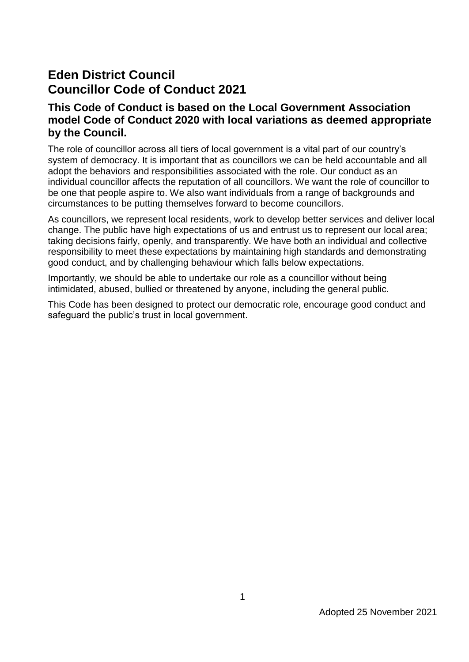## **Eden District Council Councillor Code of Conduct 2021**

## **This Code of Conduct is based on the Local Government Association model Code of Conduct 2020 with local variations as deemed appropriate by the Council.**

The role of councillor across all tiers of local government is a vital part of our country's system of democracy. It is important that as councillors we can be held accountable and all adopt the behaviors and responsibilities associated with the role. Our conduct as an individual councillor affects the reputation of all councillors. We want the role of councillor to be one that people aspire to. We also want individuals from a range of backgrounds and circumstances to be putting themselves forward to become councillors.

As councillors, we represent local residents, work to develop better services and deliver local change. The public have high expectations of us and entrust us to represent our local area; taking decisions fairly, openly, and transparently. We have both an individual and collective responsibility to meet these expectations by maintaining high standards and demonstrating good conduct, and by challenging behaviour which falls below expectations.

Importantly, we should be able to undertake our role as a councillor without being intimidated, abused, bullied or threatened by anyone, including the general public.

This Code has been designed to protect our democratic role, encourage good conduct and safeguard the public's trust in local government.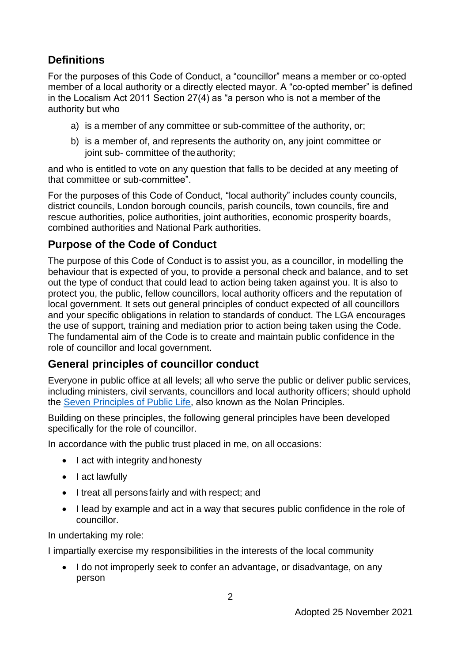## **Definitions**

For the purposes of this Code of Conduct, a "councillor" means a member or co-opted member of a local authority or a directly elected mayor. A "co-opted member" is defined in the Localism Act 2011 Section 27(4) as "a person who is not a member of the authority but who

- a) is a member of any committee or sub-committee of the authority, or;
- b) is a member of, and represents the authority on, any joint committee or joint sub- committee of the authority;

and who is entitled to vote on any question that falls to be decided at any meeting of that committee or sub-committee".

For the purposes of this Code of Conduct, "local authority" includes county councils, district councils, London borough councils, parish councils, town councils, fire and rescue authorities, police authorities, joint authorities, economic prosperity boards, combined authorities and National Park authorities.

## **Purpose of the Code of Conduct**

The purpose of this Code of Conduct is to assist you, as a councillor, in modelling the behaviour that is expected of you, to provide a personal check and balance, and to set out the type of conduct that could lead to action being taken against you. It is also to protect you, the public, fellow councillors, local authority officers and the reputation of local government. It sets out general principles of conduct expected of all councillors and your specific obligations in relation to standards of conduct. The LGA encourages the use of support, training and mediation prior to action being taken using the Code. The fundamental aim of the Code is to create and maintain public confidence in the role of councillor and local government.

## **General principles of councillor conduct**

Everyone in public office at all levels; all who serve the public or deliver public services, including ministers, civil servants, councillors and local authority officers; should uphold the [Seven Principles of Public Life,](https://www.gov.uk/government/publications/the-7-principles-of-public-life/the-7-principles-of-public-life--2) also known as the Nolan Principles.

Building on these principles, the following general principles have been developed specifically for the role of councillor.

In accordance with the public trust placed in me, on all occasions:

- I act with integrity and honesty
- I act lawfully
- I treat all persons fairly and with respect; and
- I lead by example and act in a way that secures public confidence in the role of councillor.

In undertaking my role:

I impartially exercise my responsibilities in the interests of the local community

• I do not improperly seek to confer an advantage, or disadvantage, on any person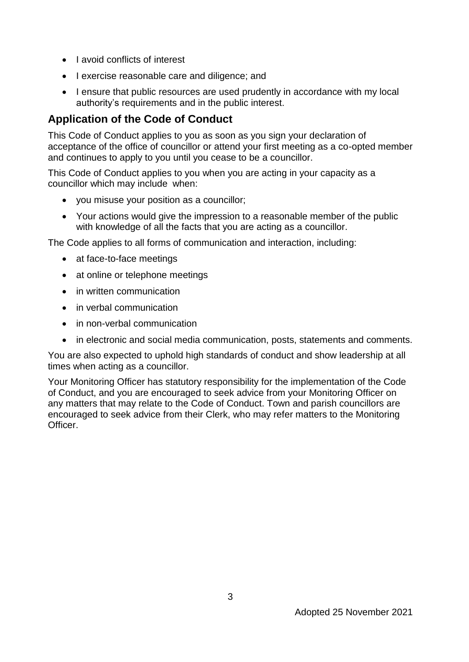- Lavoid conflicts of interest
- I exercise reasonable care and diligence; and
- I ensure that public resources are used prudently in accordance with my local authority's requirements and in the public interest.

## **Application of the Code of Conduct**

This Code of Conduct applies to you as soon as you sign your declaration of acceptance of the office of councillor or attend your first meeting as a co-opted member and continues to apply to you until you cease to be a councillor.

This Code of Conduct applies to you when you are acting in your capacity as a councillor which may include when:

- you misuse your position as a councillor;
- Your actions would give the impression to a reasonable member of the public with knowledge of all the facts that you are acting as a councillor.

The Code applies to all forms of communication and interaction, including:

- at face-to-face meetings
- at online or telephone meetings
- in written communication
- in verbal communication
- in non-verbal communication
- in electronic and social media communication, posts, statements and comments.

You are also expected to uphold high standards of conduct and show leadership at all times when acting as a councillor.

Your Monitoring Officer has statutory responsibility for the implementation of the Code of Conduct, and you are encouraged to seek advice from your Monitoring Officer on any matters that may relate to the Code of Conduct. Town and parish councillors are encouraged to seek advice from their Clerk, who may refer matters to the Monitoring Officer.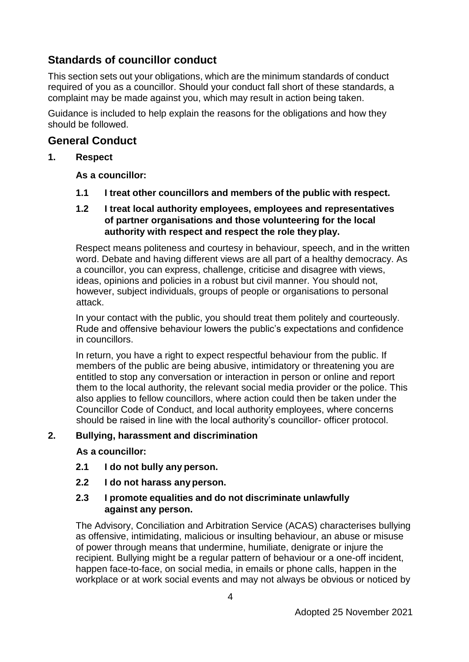## **Standards of councillor conduct**

This section sets out your obligations, which are the minimum standards of conduct required of you as a councillor. Should your conduct fall short of these standards, a complaint may be made against you, which may result in action being taken.

Guidance is included to help explain the reasons for the obligations and how they should be followed.

#### **General Conduct**

#### **1. Respect**

#### **As a councillor:**

**1.1 I treat other councillors and members of the public with respect.**

#### **1.2 I treat local authority employees, employees and representatives of partner organisations and those volunteering for the local authority with respect and respect the role they play.**

Respect means politeness and courtesy in behaviour, speech, and in the written word. Debate and having different views are all part of a healthy democracy. As a councillor, you can express, challenge, criticise and disagree with views, ideas, opinions and policies in a robust but civil manner. You should not, however, subject individuals, groups of people or organisations to personal attack.

In your contact with the public, you should treat them politely and courteously. Rude and offensive behaviour lowers the public's expectations and confidence in councillors.

In return, you have a right to expect respectful behaviour from the public. If members of the public are being abusive, intimidatory or threatening you are entitled to stop any conversation or interaction in person or online and report them to the local authority, the relevant social media provider or the police. This also applies to fellow councillors, where action could then be taken under the Councillor Code of Conduct, and local authority employees, where concerns should be raised in line with the local authority's councillor- officer protocol.

#### **2. Bullying, harassment and discrimination**

**As a councillor:**

- **2.1 I do not bully any person.**
- **2.2 I do not harass anyperson.**

#### **2.3 I promote equalities and do not discriminate unlawfully against any person.**

The Advisory, Conciliation and Arbitration Service (ACAS) characterises bullying as offensive, intimidating, malicious or insulting behaviour, an abuse or misuse of power through means that undermine, humiliate, denigrate or injure the recipient. Bullying might be a regular pattern of behaviour or a one-off incident, happen face-to-face, on social media, in emails or phone calls, happen in the workplace or at work social events and may not always be obvious or noticed by

4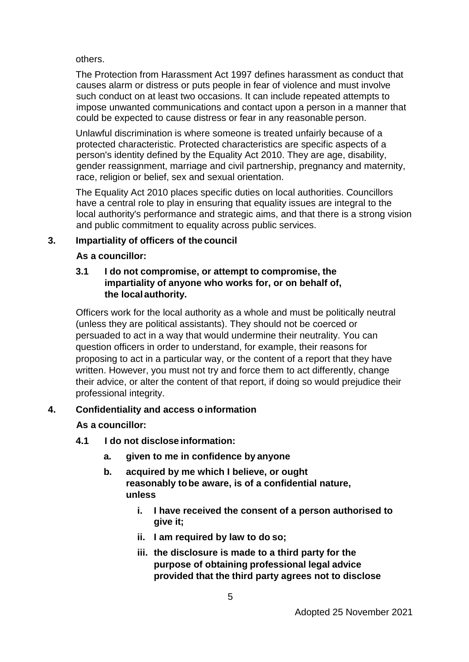others.

The Protection from Harassment Act 1997 defines harassment as conduct that causes alarm or distress or puts people in fear of violence and must involve such conduct on at least two occasions. It can include repeated attempts to impose unwanted communications and contact upon a person in a manner that could be expected to cause distress or fear in any reasonable person.

Unlawful discrimination is where someone is treated unfairly because of a protected characteristic. Protected characteristics are specific aspects of a person's identity defined by the Equality Act 2010. They are age, disability, gender reassignment, marriage and civil partnership, pregnancy and maternity, race, religion or belief, sex and sexual orientation.

The Equality Act 2010 places specific duties on local authorities. Councillors have a central role to play in ensuring that equality issues are integral to the local authority's performance and strategic aims, and that there is a strong vision and public commitment to equality across public services.

#### **3. Impartiality of officers of the council**

#### **As a councillor:**

#### **3.1 I do not compromise, or attempt to compromise, the impartiality of anyone who works for, or on behalf of, the localauthority.**

Officers work for the local authority as a whole and must be politically neutral (unless they are political assistants). They should not be coerced or persuaded to act in a way that would undermine their neutrality. You can question officers in order to understand, for example, their reasons for proposing to act in a particular way, or the content of a report that they have written. However, you must not try and force them to act differently, change their advice, or alter the content of that report, if doing so would prejudice their professional integrity.

#### **4. Confidentiality and access o information**

#### **As a councillor:**

- **4.1 I do not disclose information:**
	- **a. given to me in confidence by anyone**
	- **b. acquired by me which I believe, or ought reasonably tobe aware, is of a confidential nature, unless**
		- **i. I have received the consent of a person authorised to give it;**
		- **ii. I am required by law to do so;**
		- **iii. the disclosure is made to a third party for the purpose of obtaining professional legal advice provided that the third party agrees not to disclose**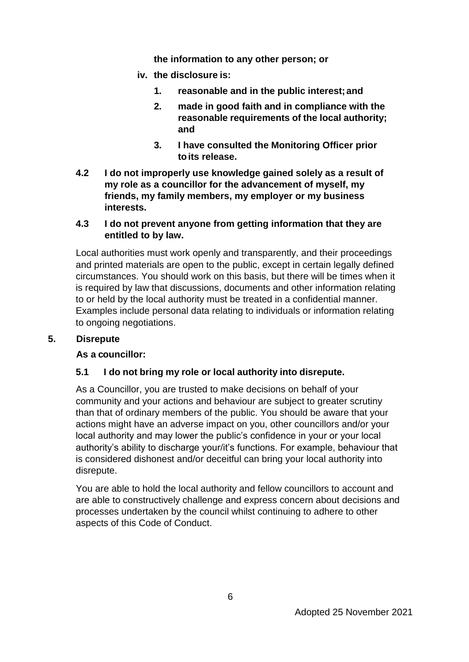**the information to any other person; or**

- **iv. the disclosure is:**
	- **1. reasonable and in the public interest; and**
	- **2. made in good faith and in compliance with the reasonable requirements of the local authority; and**
	- **3. I have consulted the Monitoring Officer prior toits release.**
- **4.2 I do not improperly use knowledge gained solely as a result of my role as a councillor for the advancement of myself, my friends, my family members, my employer or my business interests.**

#### **4.3 I do not prevent anyone from getting information that they are entitled to by law.**

Local authorities must work openly and transparently, and their proceedings and printed materials are open to the public, except in certain legally defined circumstances. You should work on this basis, but there will be times when it is required by law that discussions, documents and other information relating to or held by the local authority must be treated in a confidential manner. Examples include personal data relating to individuals or information relating to ongoing negotiations.

#### **5. Disrepute**

## **As a councillor:**

## **5.1 I do not bring my role or local authority into disrepute.**

As a Councillor, you are trusted to make decisions on behalf of your community and your actions and behaviour are subject to greater scrutiny than that of ordinary members of the public. You should be aware that your actions might have an adverse impact on you, other councillors and/or your local authority and may lower the public's confidence in your or your local authority's ability to discharge your/it's functions. For example, behaviour that is considered dishonest and/or deceitful can bring your local authority into disrepute.

You are able to hold the local authority and fellow councillors to account and are able to constructively challenge and express concern about decisions and processes undertaken by the council whilst continuing to adhere to other aspects of this Code of Conduct.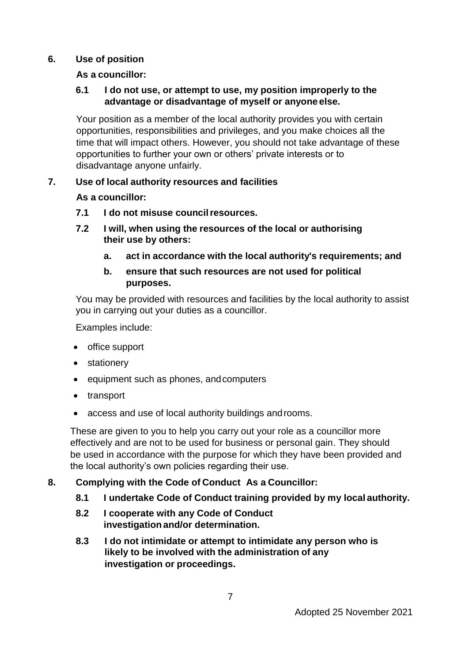#### **6. Use of position**

#### **As a councillor:**

#### **6.1 I do not use, or attempt to use, my position improperly to the advantage or disadvantage of myself or anyone else.**

Your position as a member of the local authority provides you with certain opportunities, responsibilities and privileges, and you make choices all the time that will impact others. However, you should not take advantage of these opportunities to further your own or others' private interests or to disadvantage anyone unfairly.

#### **7. Use of local authority resources and facilities**

#### **As a councillor:**

- **7.1 I do not misuse councilresources.**
- **7.2 I will, when using the resources of the local or authorising their use by others:**
	- **a. act in accordance with the local authority's requirements; and**
	- **b. ensure that such resources are not used for political purposes.**

You may be provided with resources and facilities by the local authority to assist you in carrying out your duties as a councillor.

Examples include:

- office support
- stationery
- equipment such as phones, and computers
- transport
- access and use of local authority buildings androoms.

These are given to you to help you carry out your role as a councillor more effectively and are not to be used for business or personal gain. They should be used in accordance with the purpose for which they have been provided and the local authority's own policies regarding their use.

#### **8. Complying with the Code of Conduct As a Councillor:**

- **8.1 I undertake Code of Conduct training provided by my local authority.**
- **8.2 I cooperate with any Code of Conduct investigation and/or determination.**
- **8.3 I do not intimidate or attempt to intimidate any person who is likely to be involved with the administration of any investigation or proceedings.**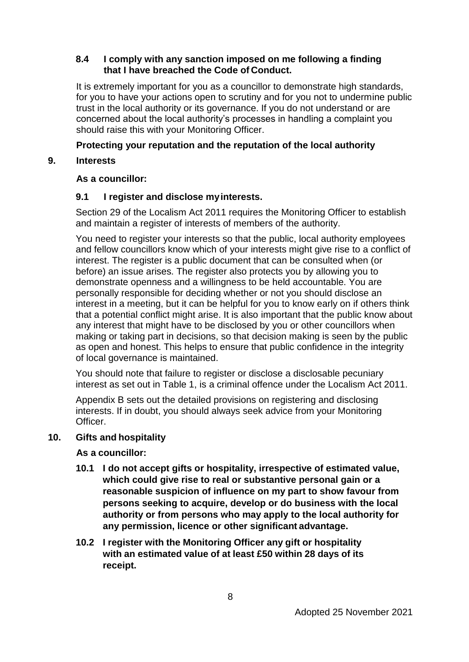#### **8.4 I comply with any sanction imposed on me following a finding that I have breached the Code of Conduct.**

It is extremely important for you as a councillor to demonstrate high standards, for you to have your actions open to scrutiny and for you not to undermine public trust in the local authority or its governance. If you do not understand or are concerned about the local authority's processes in handling a complaint you should raise this with your Monitoring Officer.

#### **Protecting your reputation and the reputation of the local authority**

#### **9. Interests**

#### **As a councillor:**

#### **9.1 I register and disclose myinterests.**

Section 29 of the Localism Act 2011 requires the Monitoring Officer to establish and maintain a register of interests of members of the authority.

You need to register your interests so that the public, local authority employees and fellow councillors know which of your interests might give rise to a conflict of interest. The register is a public document that can be consulted when (or before) an issue arises. The register also protects you by allowing you to demonstrate openness and a willingness to be held accountable. You are personally responsible for deciding whether or not you should disclose an interest in a meeting, but it can be helpful for you to know early on if others think that a potential conflict might arise. It is also important that the public know about any interest that might have to be disclosed by you or other councillors when making or taking part in decisions, so that decision making is seen by the public as open and honest. This helps to ensure that public confidence in the integrity of local governance is maintained.

You should note that failure to register or disclose a disclosable pecuniary interest as set out in Table 1, is a criminal offence under the Localism Act 2011.

Appendix B sets out the detailed provisions on registering and disclosing interests. If in doubt, you should always seek advice from your Monitoring Officer.

#### **10. Gifts and hospitality**

#### **As a councillor:**

- **10.1 I do not accept gifts or hospitality, irrespective of estimated value, which could give rise to real or substantive personal gain or a reasonable suspicion of influence on my part to show favour from persons seeking to acquire, develop or do business with the local authority or from persons who may apply to the local authority for any permission, licence or other significant advantage.**
- **10.2 I register with the Monitoring Officer any gift or hospitality with an estimated value of at least £50 within 28 days of its receipt.**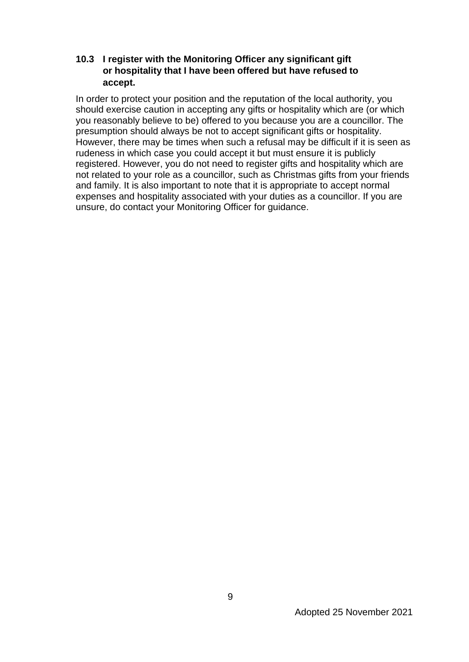#### **10.3 I register with the Monitoring Officer any significant gift or hospitality that I have been offered but have refused to accept.**

In order to protect your position and the reputation of the local authority, you should exercise caution in accepting any gifts or hospitality which are (or which you reasonably believe to be) offered to you because you are a councillor. The presumption should always be not to accept significant gifts or hospitality. However, there may be times when such a refusal may be difficult if it is seen as rudeness in which case you could accept it but must ensure it is publicly registered. However, you do not need to register gifts and hospitality which are not related to your role as a councillor, such as Christmas gifts from your friends and family. It is also important to note that it is appropriate to accept normal expenses and hospitality associated with your duties as a councillor. If you are unsure, do contact your Monitoring Officer for guidance.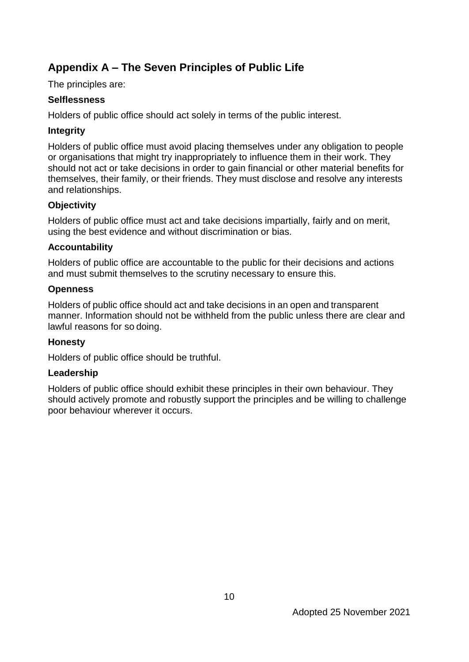## **Appendix A – The Seven Principles of Public Life**

The principles are:

## **Selflessness**

Holders of public office should act solely in terms of the public interest.

## **Integrity**

Holders of public office must avoid placing themselves under any obligation to people or organisations that might try inappropriately to influence them in their work. They should not act or take decisions in order to gain financial or other material benefits for themselves, their family, or their friends. They must disclose and resolve any interests and relationships.

## **Objectivity**

Holders of public office must act and take decisions impartially, fairly and on merit, using the best evidence and without discrimination or bias.

#### **Accountability**

Holders of public office are accountable to the public for their decisions and actions and must submit themselves to the scrutiny necessary to ensure this.

#### **Openness**

Holders of public office should act and take decisions in an open and transparent manner. Information should not be withheld from the public unless there are clear and lawful reasons for so doing.

## **Honesty**

Holders of public office should be truthful.

## **Leadership**

Holders of public office should exhibit these principles in their own behaviour. They should actively promote and robustly support the principles and be willing to challenge poor behaviour wherever it occurs.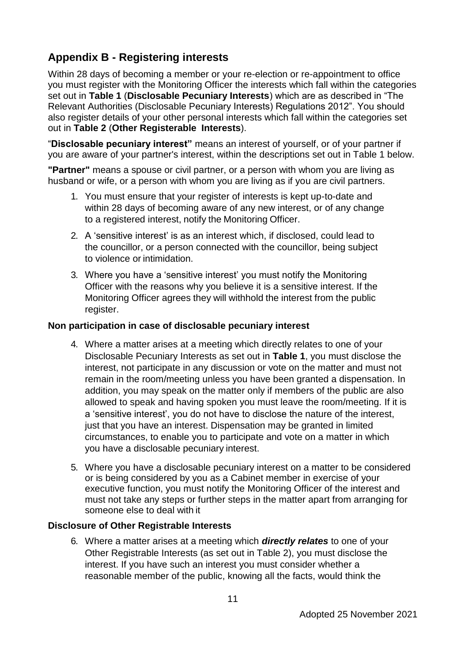## **Appendix B - Registering interests**

Within 28 days of becoming a member or your re-election or re-appointment to office you must register with the Monitoring Officer the interests which fall within the categories set out in **Table 1** (**Disclosable Pecuniary Interests**) which are as described in "The Relevant Authorities (Disclosable Pecuniary Interests) Regulations 2012". You should also register details of your other personal interests which fall within the categories set out in **Table 2** (**Other Registerable Interests**).

"**Disclosable pecuniary interest"** means an interest of yourself, or of your partner if you are aware of your partner's interest, within the descriptions set out in Table 1 below.

**"Partner"** means a spouse or civil partner, or a person with whom you are living as husband or wife, or a person with whom you are living as if you are civil partners.

- 1. You must ensure that your register of interests is kept up-to-date and within 28 days of becoming aware of any new interest, or of any change to a registered interest, notify the Monitoring Officer.
- 2. A 'sensitive interest' is as an interest which, if disclosed, could lead to the councillor, or a person connected with the councillor, being subject to violence or intimidation.
- 3. Where you have a 'sensitive interest' you must notify the Monitoring Officer with the reasons why you believe it is a sensitive interest. If the Monitoring Officer agrees they will withhold the interest from the public register.

#### **Non participation in case of disclosable pecuniary interest**

- 4. Where a matter arises at a meeting which directly relates to one of your Disclosable Pecuniary Interests as set out in **Table 1**, you must disclose the interest, not participate in any discussion or vote on the matter and must not remain in the room/meeting unless you have been granted a dispensation. In addition, you may speak on the matter only if members of the public are also allowed to speak and having spoken you must leave the room/meeting. If it is a 'sensitive interest', you do not have to disclose the nature of the interest, just that you have an interest. Dispensation may be granted in limited circumstances, to enable you to participate and vote on a matter in which you have a disclosable pecuniary interest.
- 5. Where you have a disclosable pecuniary interest on a matter to be considered or is being considered by you as a Cabinet member in exercise of your executive function, you must notify the Monitoring Officer of the interest and must not take any steps or further steps in the matter apart from arranging for someone else to deal with it

#### **Disclosure of Other Registrable Interests**

6. Where a matter arises at a meeting which *directly relates* to one of your Other Registrable Interests (as set out in Table 2), you must disclose the interest. If you have such an interest you must consider whether a reasonable member of the public, knowing all the facts, would think the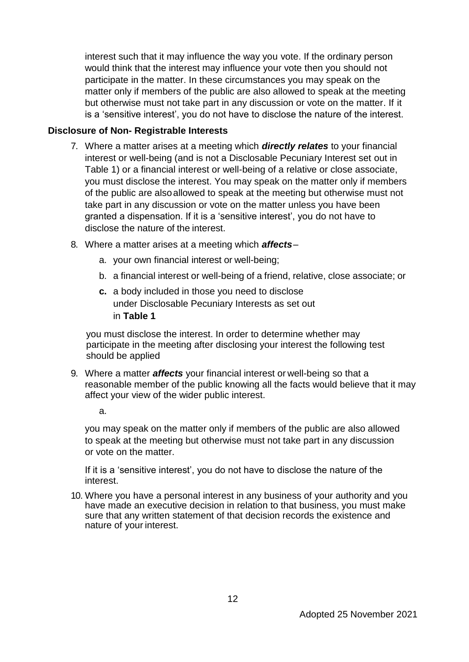interest such that it may influence the way you vote. If the ordinary person would think that the interest may influence your vote then you should not participate in the matter. In these circumstances you may speak on the matter only if members of the public are also allowed to speak at the meeting but otherwise must not take part in any discussion or vote on the matter. If it is a 'sensitive interest', you do not have to disclose the nature of the interest.

#### **Disclosure of Non- Registrable Interests**

- 7. Where a matter arises at a meeting which *directly relates* to your financial interest or well-being (and is not a Disclosable Pecuniary Interest set out in Table 1) or a financial interest or well-being of a relative or close associate, you must disclose the interest. You may speak on the matter only if members of the public are alsoallowed to speak at the meeting but otherwise must not take part in any discussion or vote on the matter unless you have been granted a dispensation. If it is a 'sensitive interest', you do not have to disclose the nature of the interest.
- 8. Where a matter arises at a meeting which *affects*
	- a. your own financial interest or well-being;
	- b. a financial interest or well-being of a friend, relative, close associate; or
	- **c.** a body included in those you need to disclose under Disclosable Pecuniary Interests as set out in **Table 1**

you must disclose the interest. In order to determine whether may participate in the meeting after disclosing your interest the following test should be applied

9. Where a matter *affects* your financial interest or well-being so that a reasonable member of the public knowing all the facts would believe that it may affect your view of the wider public interest.

a.

you may speak on the matter only if members of the public are also allowed to speak at the meeting but otherwise must not take part in any discussion or vote on the matter.

If it is a 'sensitive interest', you do not have to disclose the nature of the interest.

10. Where you have a personal interest in any business of your authority and you have made an executive decision in relation to that business, you must make sure that any written statement of that decision records the existence and nature of your interest.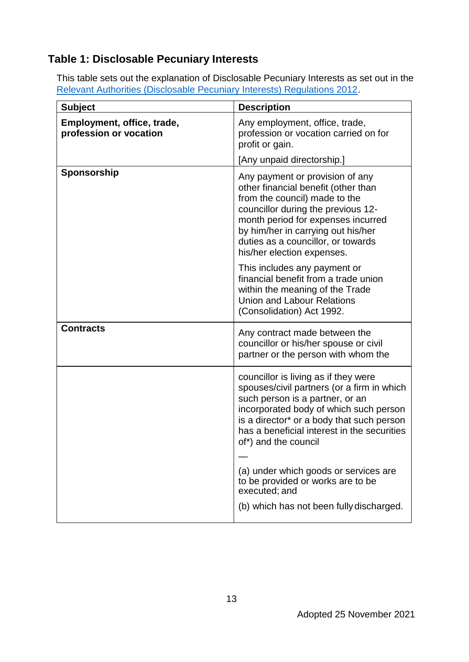# **Table 1: Disclosable Pecuniary Interests**

This table sets out the explanation of Disclosable Pecuniary Interests as set out in the [Relevant Authorities \(Disclosable Pecuniary Interests\) Regulations 2012.](https://www.legislation.gov.uk/uksi/2012/1464/made)

| <b>Subject</b>                                       | <b>Description</b>                                                                                                                                                                                                                                                                                                           |
|------------------------------------------------------|------------------------------------------------------------------------------------------------------------------------------------------------------------------------------------------------------------------------------------------------------------------------------------------------------------------------------|
| Employment, office, trade,<br>profession or vocation | Any employment, office, trade,<br>profession or vocation carried on for<br>profit or gain.                                                                                                                                                                                                                                   |
|                                                      | [Any unpaid directorship.]                                                                                                                                                                                                                                                                                                   |
| Sponsorship                                          | Any payment or provision of any<br>other financial benefit (other than<br>from the council) made to the<br>councillor during the previous 12-<br>month period for expenses incurred<br>by him/her in carrying out his/her<br>duties as a councillor, or towards<br>his/her election expenses.                                |
|                                                      | This includes any payment or<br>financial benefit from a trade union<br>within the meaning of the Trade<br><b>Union and Labour Relations</b><br>(Consolidation) Act 1992.                                                                                                                                                    |
| <b>Contracts</b>                                     | Any contract made between the<br>councillor or his/her spouse or civil<br>partner or the person with whom the                                                                                                                                                                                                                |
|                                                      | councillor is living as if they were<br>spouses/civil partners (or a firm in which<br>such person is a partner, or an<br>incorporated body of which such person<br>is a director* or a body that such person<br>has a beneficial interest in the securities<br>of*) and the council<br>(a) under which goods or services are |
|                                                      | to be provided or works are to be<br>executed; and                                                                                                                                                                                                                                                                           |
|                                                      | (b) which has not been fully discharged.                                                                                                                                                                                                                                                                                     |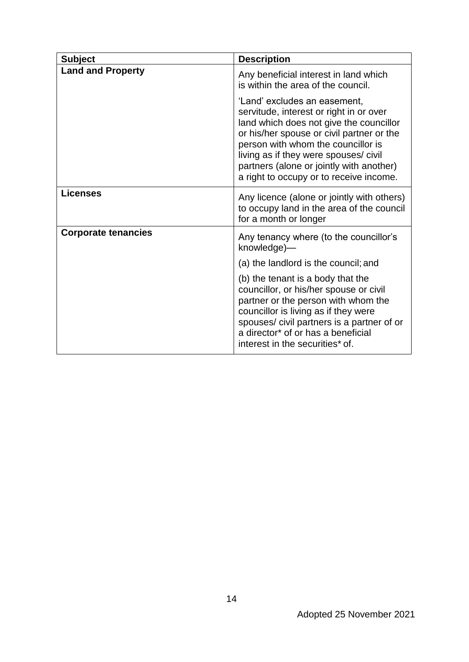| <b>Subject</b>             | <b>Description</b>                                                                                                                                                                                                                                                                                                                    |
|----------------------------|---------------------------------------------------------------------------------------------------------------------------------------------------------------------------------------------------------------------------------------------------------------------------------------------------------------------------------------|
| <b>Land and Property</b>   | Any beneficial interest in land which<br>is within the area of the council.                                                                                                                                                                                                                                                           |
|                            | 'Land' excludes an easement,<br>servitude, interest or right in or over<br>land which does not give the councillor<br>or his/her spouse or civil partner or the<br>person with whom the councillor is<br>living as if they were spouses/ civil<br>partners (alone or jointly with another)<br>a right to occupy or to receive income. |
| <b>Licenses</b>            | Any licence (alone or jointly with others)<br>to occupy land in the area of the council<br>for a month or longer                                                                                                                                                                                                                      |
| <b>Corporate tenancies</b> | Any tenancy where (to the councillor's<br>knowledge)-                                                                                                                                                                                                                                                                                 |
|                            | (a) the landlord is the council; and                                                                                                                                                                                                                                                                                                  |
|                            | (b) the tenant is a body that the<br>councillor, or his/her spouse or civil<br>partner or the person with whom the<br>councillor is living as if they were<br>spouses/civil partners is a partner of or<br>a director <sup>*</sup> of or has a beneficial<br>interest in the securities* of.                                          |